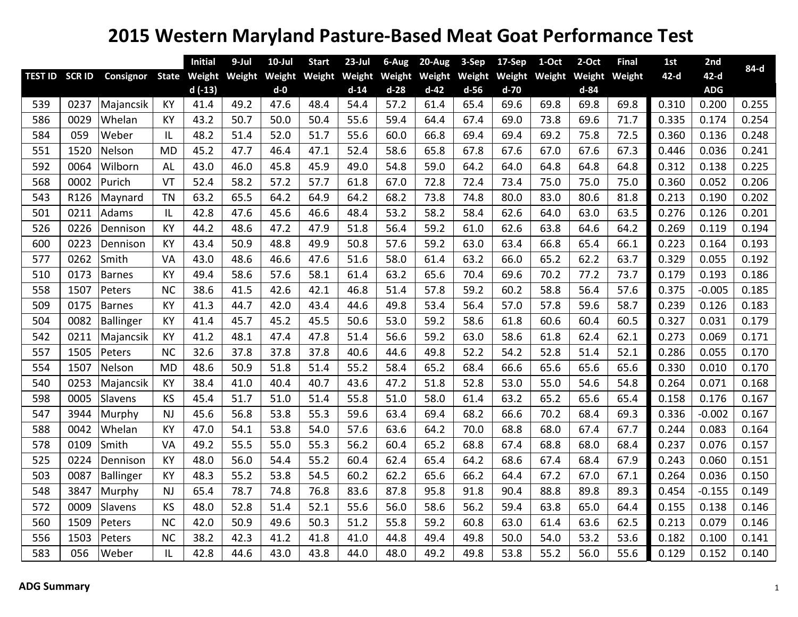## **Western Maryland Pasture‐Based Meat Goat Performance Test**

|     |                |               |              | <b>Initial</b> | 9-Jul  | $10$ -Jul | <b>Start</b> | $23$ -Jul | 6-Aug  | 20-Aug | 3-Sep         | 17-Sep | 1-Oct         | 2-Oct    | <b>Final</b> | 1st    | 2nd        | 84-d  |
|-----|----------------|---------------|--------------|----------------|--------|-----------|--------------|-----------|--------|--------|---------------|--------|---------------|----------|--------------|--------|------------|-------|
|     | TEST ID SCR ID | Consignor     | <b>State</b> | Weight         | Weight | Weight    | Weight       | Weight    | Weight |        | Weight Weight |        | Weight Weight | Weight   | Weight       | $42-d$ | $42-d$     |       |
|     |                |               |              | $d(-13)$       |        | $d-0$     |              | $d-14$    | $d-28$ | $d-42$ | $d-56$        | $d-70$ |               | $d - 84$ |              |        | <b>ADG</b> |       |
| 539 | 0237           | Majancsik     | <b>KY</b>    | 41.4           | 49.2   | 47.6      | 48.4         | 54.4      | 57.2   | 61.4   | 65.4          | 69.6   | 69.8          | 69.8     | 69.8         | 0.310  | 0.200      | 0.255 |
| 586 | 0029           | Whelan        | KY           | 43.2           | 50.7   | 50.0      | 50.4         | 55.6      | 59.4   | 64.4   | 67.4          | 69.0   | 73.8          | 69.6     | 71.7         | 0.335  | 0.174      | 0.254 |
| 584 | 059            | Weber         | IL           | 48.2           | 51.4   | 52.0      | 51.7         | 55.6      | 60.0   | 66.8   | 69.4          | 69.4   | 69.2          | 75.8     | 72.5         | 0.360  | 0.136      | 0.248 |
| 551 | 1520           | Nelson        | <b>MD</b>    | 45.2           | 47.7   | 46.4      | 47.1         | 52.4      | 58.6   | 65.8   | 67.8          | 67.6   | 67.0          | 67.6     | 67.3         | 0.446  | 0.036      | 0.241 |
| 592 | 0064           | Wilborn       | AL           | 43.0           | 46.0   | 45.8      | 45.9         | 49.0      | 54.8   | 59.0   | 64.2          | 64.0   | 64.8          | 64.8     | 64.8         | 0.312  | 0.138      | 0.225 |
| 568 | 0002           | Purich        | VT           | 52.4           | 58.2   | 57.2      | 57.7         | 61.8      | 67.0   | 72.8   | 72.4          | 73.4   | 75.0          | 75.0     | 75.0         | 0.360  | 0.052      | 0.206 |
| 543 | R126           | Maynard       | <b>TN</b>    | 63.2           | 65.5   | 64.2      | 64.9         | 64.2      | 68.2   | 73.8   | 74.8          | 80.0   | 83.0          | 80.6     | 81.8         | 0.213  | 0.190      | 0.202 |
| 501 | 0211           | Adams         | IL           | 42.8           | 47.6   | 45.6      | 46.6         | 48.4      | 53.2   | 58.2   | 58.4          | 62.6   | 64.0          | 63.0     | 63.5         | 0.276  | 0.126      | 0.201 |
| 526 | 0226           | Dennison      | KY           | 44.2           | 48.6   | 47.2      | 47.9         | 51.8      | 56.4   | 59.2   | 61.0          | 62.6   | 63.8          | 64.6     | 64.2         | 0.269  | 0.119      | 0.194 |
| 600 | 0223           | Dennison      | KY           | 43.4           | 50.9   | 48.8      | 49.9         | 50.8      | 57.6   | 59.2   | 63.0          | 63.4   | 66.8          | 65.4     | 66.1         | 0.223  | 0.164      | 0.193 |
| 577 | 0262           | Smith         | VA           | 43.0           | 48.6   | 46.6      | 47.6         | 51.6      | 58.0   | 61.4   | 63.2          | 66.0   | 65.2          | 62.2     | 63.7         | 0.329  | 0.055      | 0.192 |
| 510 | 0173           | Barnes        | KY           | 49.4           | 58.6   | 57.6      | 58.1         | 61.4      | 63.2   | 65.6   | 70.4          | 69.6   | 70.2          | 77.2     | 73.7         | 0.179  | 0.193      | 0.186 |
| 558 | 1507           | Peters        | <b>NC</b>    | 38.6           | 41.5   | 42.6      | 42.1         | 46.8      | 51.4   | 57.8   | 59.2          | 60.2   | 58.8          | 56.4     | 57.6         | 0.375  | $-0.005$   | 0.185 |
| 509 | 0175           | <b>Barnes</b> | KY           | 41.3           | 44.7   | 42.0      | 43.4         | 44.6      | 49.8   | 53.4   | 56.4          | 57.0   | 57.8          | 59.6     | 58.7         | 0.239  | 0.126      | 0.183 |
| 504 | 0082           | Ballinger     | <b>KY</b>    | 41.4           | 45.7   | 45.2      | 45.5         | 50.6      | 53.0   | 59.2   | 58.6          | 61.8   | 60.6          | 60.4     | 60.5         | 0.327  | 0.031      | 0.179 |
| 542 | 0211           | Majancsik     | KY           | 41.2           | 48.1   | 47.4      | 47.8         | 51.4      | 56.6   | 59.2   | 63.0          | 58.6   | 61.8          | 62.4     | 62.1         | 0.273  | 0.069      | 0.171 |
| 557 | 1505           | Peters        | <b>NC</b>    | 32.6           | 37.8   | 37.8      | 37.8         | 40.6      | 44.6   | 49.8   | 52.2          | 54.2   | 52.8          | 51.4     | 52.1         | 0.286  | 0.055      | 0.170 |
| 554 | 1507           | Nelson        | <b>MD</b>    | 48.6           | 50.9   | 51.8      | 51.4         | 55.2      | 58.4   | 65.2   | 68.4          | 66.6   | 65.6          | 65.6     | 65.6         | 0.330  | 0.010      | 0.170 |
| 540 | 0253           | Majancsik     | <b>KY</b>    | 38.4           | 41.0   | 40.4      | 40.7         | 43.6      | 47.2   | 51.8   | 52.8          | 53.0   | 55.0          | 54.6     | 54.8         | 0.264  | 0.071      | 0.168 |
| 598 | 0005           | Slavens       | KS           | 45.4           | 51.7   | 51.0      | 51.4         | 55.8      | 51.0   | 58.0   | 61.4          | 63.2   | 65.2          | 65.6     | 65.4         | 0.158  | 0.176      | 0.167 |
| 547 | 3944           | Murphy        | <b>NJ</b>    | 45.6           | 56.8   | 53.8      | 55.3         | 59.6      | 63.4   | 69.4   | 68.2          | 66.6   | 70.2          | 68.4     | 69.3         | 0.336  | $-0.002$   | 0.167 |
| 588 | 0042           | Whelan        | <b>KY</b>    | 47.0           | 54.1   | 53.8      | 54.0         | 57.6      | 63.6   | 64.2   | 70.0          | 68.8   | 68.0          | 67.4     | 67.7         | 0.244  | 0.083      | 0.164 |
| 578 | 0109           | Smith         | VA           | 49.2           | 55.5   | 55.0      | 55.3         | 56.2      | 60.4   | 65.2   | 68.8          | 67.4   | 68.8          | 68.0     | 68.4         | 0.237  | 0.076      | 0.157 |
| 525 | 0224           | Dennison      | KY           | 48.0           | 56.0   | 54.4      | 55.2         | 60.4      | 62.4   | 65.4   | 64.2          | 68.6   | 67.4          | 68.4     | 67.9         | 0.243  | 0.060      | 0.151 |
| 503 | 0087           | Ballinger     | KY           | 48.3           | 55.2   | 53.8      | 54.5         | 60.2      | 62.2   | 65.6   | 66.2          | 64.4   | 67.2          | 67.0     | 67.1         | 0.264  | 0.036      | 0.150 |
| 548 | 3847           | Murphy        | <b>NJ</b>    | 65.4           | 78.7   | 74.8      | 76.8         | 83.6      | 87.8   | 95.8   | 91.8          | 90.4   | 88.8          | 89.8     | 89.3         | 0.454  | $-0.155$   | 0.149 |
| 572 | 0009           | Slavens       | KS           | 48.0           | 52.8   | 51.4      | 52.1         | 55.6      | 56.0   | 58.6   | 56.2          | 59.4   | 63.8          | 65.0     | 64.4         | 0.155  | 0.138      | 0.146 |
| 560 | 1509           | Peters        | <b>NC</b>    | 42.0           | 50.9   | 49.6      | 50.3         | 51.2      | 55.8   | 59.2   | 60.8          | 63.0   | 61.4          | 63.6     | 62.5         | 0.213  | 0.079      | 0.146 |
| 556 | 1503           | Peters        | <b>NC</b>    | 38.2           | 42.3   | 41.2      | 41.8         | 41.0      | 44.8   | 49.4   | 49.8          | 50.0   | 54.0          | 53.2     | 53.6         | 0.182  | 0.100      | 0.141 |
| 583 | 056            | Weber         | IL           | 42.8           | 44.6   | 43.0      | 43.8         | 44.0      | 48.0   | 49.2   | 49.8          | 53.8   | 55.2          | 56.0     | 55.6         | 0.129  | 0.152      | 0.140 |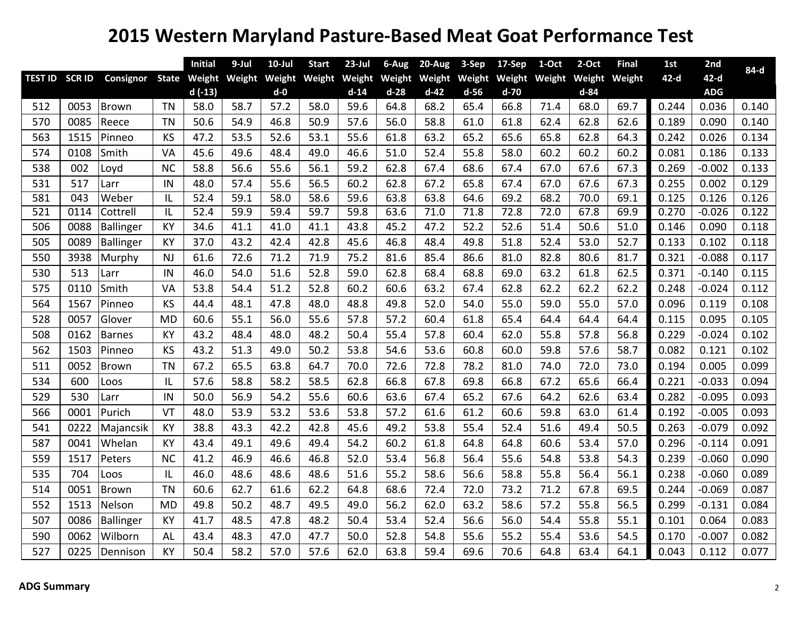## **Western Maryland Pasture‐Based Meat Goat Performance Test**

|     |                |                  |              | <b>Initial</b> | 9-Jul         | $10$ -Jul | <b>Start</b> | $23$ -Jul | 6-Aug  | 20-Aug | 3-Sep         | 17-Sep | 1-Oct         | 2-Oct    | <b>Final</b> | 1st    | 2nd        | 84-d  |
|-----|----------------|------------------|--------------|----------------|---------------|-----------|--------------|-----------|--------|--------|---------------|--------|---------------|----------|--------------|--------|------------|-------|
|     | TEST ID SCR ID | Consignor        | <b>State</b> |                | Weight Weight | Weight    | Weight       | Weight    | Weight |        | Weight Weight |        | Weight Weight | Weight   | Weight       | $42-d$ | $42-d$     |       |
|     |                |                  |              | $d(-13)$       |               | $d-0$     |              | $d-14$    | $d-28$ | $d-42$ | $d-56$        | $d-70$ |               | $d - 84$ |              |        | <b>ADG</b> |       |
| 512 | 0053           | <b>Brown</b>     | <b>TN</b>    | 58.0           | 58.7          | 57.2      | 58.0         | 59.6      | 64.8   | 68.2   | 65.4          | 66.8   | 71.4          | 68.0     | 69.7         | 0.244  | 0.036      | 0.140 |
| 570 | 0085           | Reece            | <b>TN</b>    | 50.6           | 54.9          | 46.8      | 50.9         | 57.6      | 56.0   | 58.8   | 61.0          | 61.8   | 62.4          | 62.8     | 62.6         | 0.189  | 0.090      | 0.140 |
| 563 | 1515           | Pinneo           | <b>KS</b>    | 47.2           | 53.5          | 52.6      | 53.1         | 55.6      | 61.8   | 63.2   | 65.2          | 65.6   | 65.8          | 62.8     | 64.3         | 0.242  | 0.026      | 0.134 |
| 574 | 0108           | Smith            | VA           | 45.6           | 49.6          | 48.4      | 49.0         | 46.6      | 51.0   | 52.4   | 55.8          | 58.0   | 60.2          | 60.2     | 60.2         | 0.081  | 0.186      | 0.133 |
| 538 | 002            | Loyd             | <b>NC</b>    | 58.8           | 56.6          | 55.6      | 56.1         | 59.2      | 62.8   | 67.4   | 68.6          | 67.4   | 67.0          | 67.6     | 67.3         | 0.269  | $-0.002$   | 0.133 |
| 531 | 517            | Larr             | IN           | 48.0           | 57.4          | 55.6      | 56.5         | 60.2      | 62.8   | 67.2   | 65.8          | 67.4   | 67.0          | 67.6     | 67.3         | 0.255  | 0.002      | 0.129 |
| 581 | 043            | Weber            | IL           | 52.4           | 59.1          | 58.0      | 58.6         | 59.6      | 63.8   | 63.8   | 64.6          | 69.2   | 68.2          | 70.0     | 69.1         | 0.125  | 0.126      | 0.126 |
| 521 | 0114           | Cottrell         | L            | 52.4           | 59.9          | 59.4      | 59.7         | 59.8      | 63.6   | 71.0   | 71.8          | 72.8   | 72.0          | 67.8     | 69.9         | 0.270  | $-0.026$   | 0.122 |
| 506 | 0088           | Ballinger        | KY           | 34.6           | 41.1          | 41.0      | 41.1         | 43.8      | 45.2   | 47.2   | 52.2          | 52.6   | 51.4          | 50.6     | 51.0         | 0.146  | 0.090      | 0.118 |
| 505 | 0089           | <b>Ballinger</b> | <b>KY</b>    | 37.0           | 43.2          | 42.4      | 42.8         | 45.6      | 46.8   | 48.4   | 49.8          | 51.8   | 52.4          | 53.0     | 52.7         | 0.133  | 0.102      | 0.118 |
| 550 | 3938           | Murphy           | <b>NJ</b>    | 61.6           | 72.6          | 71.2      | 71.9         | 75.2      | 81.6   | 85.4   | 86.6          | 81.0   | 82.8          | 80.6     | 81.7         | 0.321  | $-0.088$   | 0.117 |
| 530 | 513            | Larr             | IN           | 46.0           | 54.0          | 51.6      | 52.8         | 59.0      | 62.8   | 68.4   | 68.8          | 69.0   | 63.2          | 61.8     | 62.5         | 0.371  | $-0.140$   | 0.115 |
| 575 | 0110           | Smith            | VA           | 53.8           | 54.4          | 51.2      | 52.8         | 60.2      | 60.6   | 63.2   | 67.4          | 62.8   | 62.2          | 62.2     | 62.2         | 0.248  | $-0.024$   | 0.112 |
| 564 | 1567           | Pinneo           | KS           | 44.4           | 48.1          | 47.8      | 48.0         | 48.8      | 49.8   | 52.0   | 54.0          | 55.0   | 59.0          | 55.0     | 57.0         | 0.096  | 0.119      | 0.108 |
| 528 | 0057           | Glover           | <b>MD</b>    | 60.6           | 55.1          | 56.0      | 55.6         | 57.8      | 57.2   | 60.4   | 61.8          | 65.4   | 64.4          | 64.4     | 64.4         | 0.115  | 0.095      | 0.105 |
| 508 | 0162           | <b>Barnes</b>    | <b>KY</b>    | 43.2           | 48.4          | 48.0      | 48.2         | 50.4      | 55.4   | 57.8   | 60.4          | 62.0   | 55.8          | 57.8     | 56.8         | 0.229  | $-0.024$   | 0.102 |
| 562 | 1503           | Pinneo           | KS           | 43.2           | 51.3          | 49.0      | 50.2         | 53.8      | 54.6   | 53.6   | 60.8          | 60.0   | 59.8          | 57.6     | 58.7         | 0.082  | 0.121      | 0.102 |
| 511 | 0052           | Brown            | <b>TN</b>    | 67.2           | 65.5          | 63.8      | 64.7         | 70.0      | 72.6   | 72.8   | 78.2          | 81.0   | 74.0          | 72.0     | 73.0         | 0.194  | 0.005      | 0.099 |
| 534 | 600            | Loos             | IL           | 57.6           | 58.8          | 58.2      | 58.5         | 62.8      | 66.8   | 67.8   | 69.8          | 66.8   | 67.2          | 65.6     | 66.4         | 0.221  | $-0.033$   | 0.094 |
| 529 | 530            | Larr             | IN           | 50.0           | 56.9          | 54.2      | 55.6         | 60.6      | 63.6   | 67.4   | 65.2          | 67.6   | 64.2          | 62.6     | 63.4         | 0.282  | $-0.095$   | 0.093 |
| 566 | 0001           | Purich           | VT           | 48.0           | 53.9          | 53.2      | 53.6         | 53.8      | 57.2   | 61.6   | 61.2          | 60.6   | 59.8          | 63.0     | 61.4         | 0.192  | $-0.005$   | 0.093 |
| 541 | 0222           | Majancsik        | <b>KY</b>    | 38.8           | 43.3          | 42.2      | 42.8         | 45.6      | 49.2   | 53.8   | 55.4          | 52.4   | 51.6          | 49.4     | 50.5         | 0.263  | $-0.079$   | 0.092 |
| 587 | 0041           | Whelan           | <b>KY</b>    | 43.4           | 49.1          | 49.6      | 49.4         | 54.2      | 60.2   | 61.8   | 64.8          | 64.8   | 60.6          | 53.4     | 57.0         | 0.296  | $-0.114$   | 0.091 |
| 559 | 1517           | Peters           | <b>NC</b>    | 41.2           | 46.9          | 46.6      | 46.8         | 52.0      | 53.4   | 56.8   | 56.4          | 55.6   | 54.8          | 53.8     | 54.3         | 0.239  | $-0.060$   | 0.090 |
| 535 | 704            | Loos             | L            | 46.0           | 48.6          | 48.6      | 48.6         | 51.6      | 55.2   | 58.6   | 56.6          | 58.8   | 55.8          | 56.4     | 56.1         | 0.238  | $-0.060$   | 0.089 |
| 514 | 0051           | <b>Brown</b>     | <b>TN</b>    | 60.6           | 62.7          | 61.6      | 62.2         | 64.8      | 68.6   | 72.4   | 72.0          | 73.2   | 71.2          | 67.8     | 69.5         | 0.244  | $-0.069$   | 0.087 |
| 552 | 1513           | Nelson           | <b>MD</b>    | 49.8           | 50.2          | 48.7      | 49.5         | 49.0      | 56.2   | 62.0   | 63.2          | 58.6   | 57.2          | 55.8     | 56.5         | 0.299  | $-0.131$   | 0.084 |
| 507 | 0086           | Ballinger        | <b>KY</b>    | 41.7           | 48.5          | 47.8      | 48.2         | 50.4      | 53.4   | 52.4   | 56.6          | 56.0   | 54.4          | 55.8     | 55.1         | 0.101  | 0.064      | 0.083 |
| 590 | 0062           | Wilborn          | AL           | 43.4           | 48.3          | 47.0      | 47.7         | 50.0      | 52.8   | 54.8   | 55.6          | 55.2   | 55.4          | 53.6     | 54.5         | 0.170  | $-0.007$   | 0.082 |
| 527 | 0225           | Dennison         | <b>KY</b>    | 50.4           | 58.2          | 57.0      | 57.6         | 62.0      | 63.8   | 59.4   | 69.6          | 70.6   | 64.8          | 63.4     | 64.1         | 0.043  | 0.112      | 0.077 |